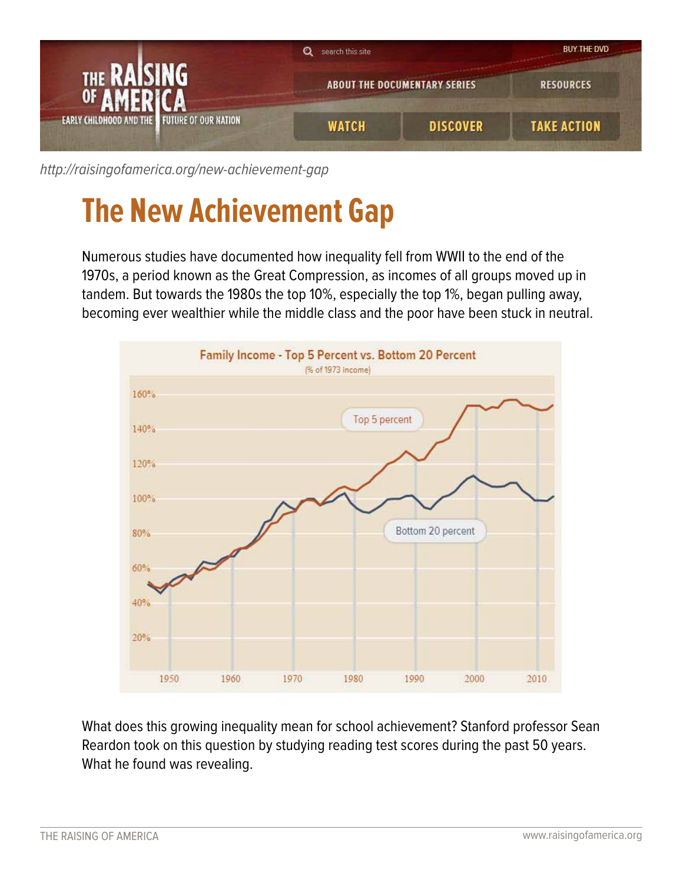

[http://raisingofamerica.org/](http://raisingofamerica.org/new-achievement-gap)new-achievement-gap

## **The New Achievement Gap**

Numerous studies have documented how inequality fell from WWII to the end of the 1970s, a period known as the Great Compression, as incomes of all groups moved up in tandem. But towards the 1980s the top 10%, especially the top 1%, began pulling away, becoming ever wealthier while the middle class and the poor have been stuck in neutral.



What does this growing inequality mean for school achievement? Stanford professor Sean Reardon took on this question by studying reading test scores during the past 50 years. What he found was revealing.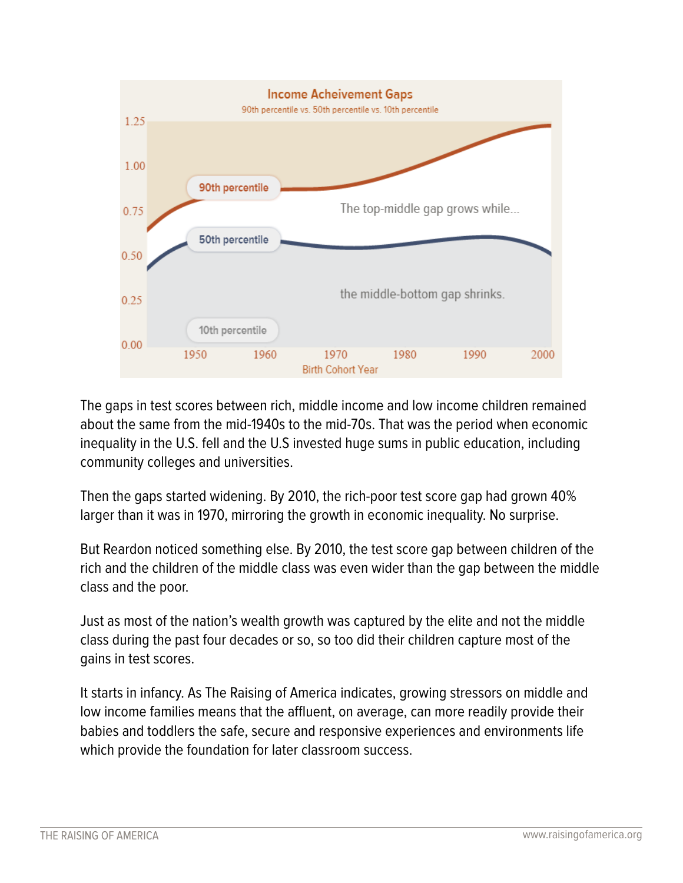

The gaps in test scores between rich, middle income and low income children remained about the same from the mid-1940s to the mid-70s. That was the period when economic inequality in the U.S. fell and the U.S invested huge sums in public education, including community colleges and universities.

Then the gaps started widening. By 2010, the rich-poor test score gap had grown 40% larger than it was in 1970, mirroring the growth in economic inequality. No surprise.

But Reardon noticed something else. By 2010, the test score gap between children of the rich and the children of the middle class was even wider than the gap between the middle class and the poor.

Just as most of the nation's wealth growth was captured by the elite and not the middle class during the past four decades or so, so too did their children capture most of the gains in test scores.

It starts in infancy. As The Raising of America indicates, growing stressors on middle and low income families means that the affluent, on average, can more readily provide their babies and toddlers the safe, secure and responsive experiences and environments life which provide the foundation for later classroom success.